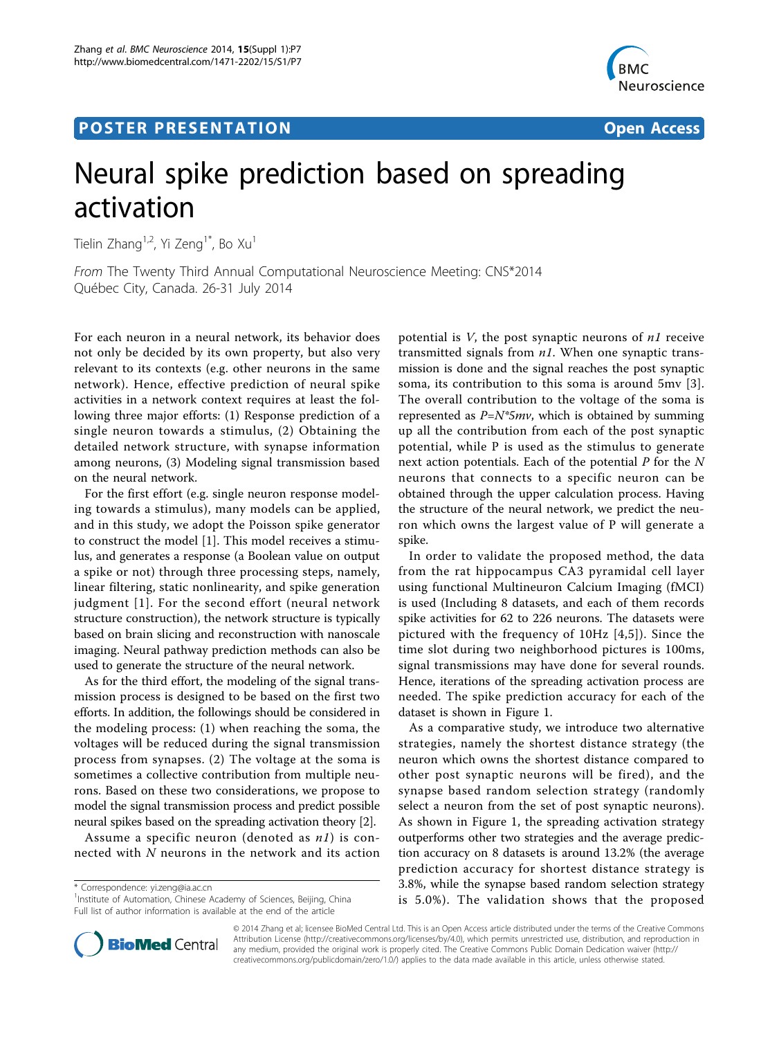# Post Experimental Police in the St English Police in the St English Police in the St English Police in the St<br>Police in the St English Police in the St English Police in the St English Police in the St English Police in



# Neural spike prediction based on spreading activation

Tielin Zhang<sup>1,2</sup>, Yi Zeng<sup>1\*</sup>, Bo Xu<sup>1</sup>

From The Twenty Third Annual Computational Neuroscience Meeting: CNS\*2014 Québec City, Canada. 26-31 July 2014

For each neuron in a neural network, its behavior does not only be decided by its own property, but also very relevant to its contexts (e.g. other neurons in the same network). Hence, effective prediction of neural spike activities in a network context requires at least the following three major efforts: (1) Response prediction of a single neuron towards a stimulus, (2) Obtaining the detailed network structure, with synapse information among neurons, (3) Modeling signal transmission based on the neural network.

For the first effort (e.g. single neuron response modeling towards a stimulus), many models can be applied, and in this study, we adopt the Poisson spike generator to construct the model [[1\]](#page-1-0). This model receives a stimulus, and generates a response (a Boolean value on output a spike or not) through three processing steps, namely, linear filtering, static nonlinearity, and spike generation judgment [[1](#page-1-0)]. For the second effort (neural network structure construction), the network structure is typically based on brain slicing and reconstruction with nanoscale imaging. Neural pathway prediction methods can also be used to generate the structure of the neural network.

As for the third effort, the modeling of the signal transmission process is designed to be based on the first two efforts. In addition, the followings should be considered in the modeling process: (1) when reaching the soma, the voltages will be reduced during the signal transmission process from synapses. (2) The voltage at the soma is sometimes a collective contribution from multiple neurons. Based on these two considerations, we propose to model the signal transmission process and predict possible neural spikes based on the spreading activation theory [[2\]](#page-1-0).

Assume a specific neuron (denoted as  $nI$ ) is connected with N neurons in the network and its action

\* Correspondence: [yi.zeng@ia.ac.cn](mailto:yi.zeng@ia.ac.cn)

<sup>1</sup>Institute of Automation, Chinese Academy of Sciences, Beijing, China Full list of author information is available at the end of the article

potential is  $V$ , the post synaptic neurons of  $nI$  receive transmitted signals from  $n1$ . When one synaptic transmission is done and the signal reaches the post synaptic soma, its contribution to this soma is around 5mv [[3](#page-1-0)]. The overall contribution to the voltage of the soma is represented as  $P=N*5mv$ , which is obtained by summing up all the contribution from each of the post synaptic potential, while P is used as the stimulus to generate next action potentials. Each of the potential  $P$  for the  $N$ neurons that connects to a specific neuron can be obtained through the upper calculation process. Having the structure of the neural network, we predict the neuron which owns the largest value of P will generate a spike.

In order to validate the proposed method, the data from the rat hippocampus CA3 pyramidal cell layer using functional Multineuron Calcium Imaging (fMCI) is used (Including 8 datasets, and each of them records spike activities for 62 to 226 neurons. The datasets were pictured with the frequency of 10Hz [[4,5](#page-1-0)]). Since the time slot during two neighborhood pictures is 100ms, signal transmissions may have done for several rounds. Hence, iterations of the spreading activation process are needed. The spike prediction accuracy for each of the dataset is shown in Figure [1](#page-1-0).

As a comparative study, we introduce two alternative strategies, namely the shortest distance strategy (the neuron which owns the shortest distance compared to other post synaptic neurons will be fired), and the synapse based random selection strategy (randomly select a neuron from the set of post synaptic neurons). As shown in Figure [1,](#page-1-0) the spreading activation strategy outperforms other two strategies and the average prediction accuracy on 8 datasets is around 13.2% (the average prediction accuracy for shortest distance strategy is 3.8%, while the synapse based random selection strategy is 5.0%). The validation shows that the proposed



© 2014 Zhang et al; licensee BioMed Central Ltd. This is an Open Access article distributed under the terms of the Creative Commons Attribution License [\(http://creativecommons.org/licenses/by/4.0](http://creativecommons.org/licenses/by/4.0)), which permits unrestricted use, distribution, and reproduction in any medium, provided the original work is properly cited. The Creative Commons Public Domain Dedication waiver [\(http://](http://creativecommons.org/publicdomain/zero/1.0/) [creativecommons.org/publicdomain/zero/1.0/](http://creativecommons.org/publicdomain/zero/1.0/)) applies to the data made available in this article, unless otherwise stated.